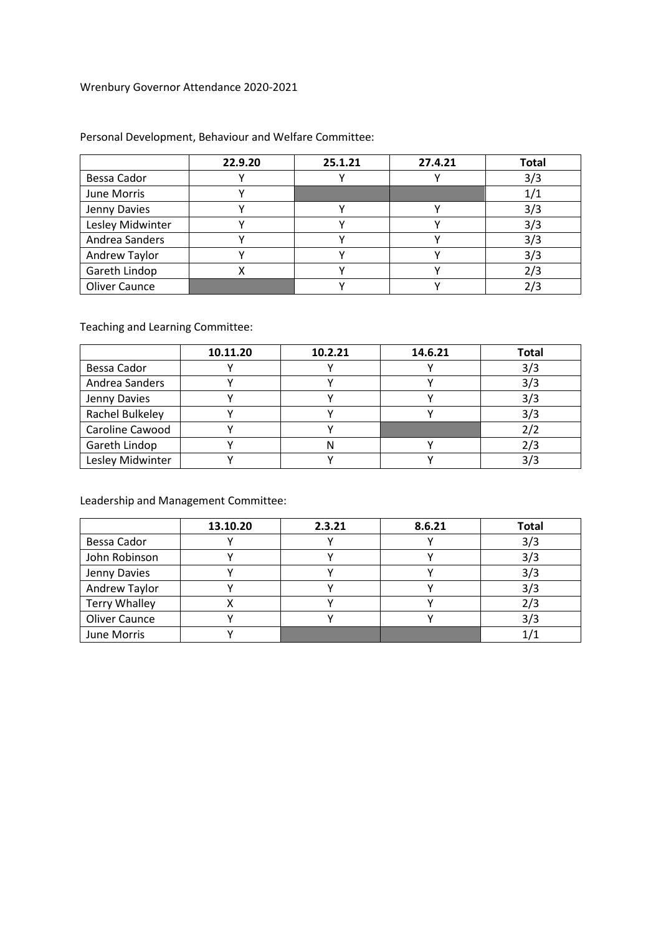## Wrenbury Governor Attendance 2020-2021

|                      | 22.9.20 | 25.1.21 | 27.4.21 | <b>Total</b> |
|----------------------|---------|---------|---------|--------------|
| Bessa Cador          |         |         |         | 3/3          |
| June Morris          |         |         |         | 1/1          |
| Jenny Davies         |         |         |         | 3/3          |
| Lesley Midwinter     |         |         |         | 3/3          |
| Andrea Sanders       |         |         |         | 3/3          |
| Andrew Taylor        |         |         |         | 3/3          |
| Gareth Lindop        |         |         |         | 2/3          |
| <b>Oliver Caunce</b> |         |         |         | 2/3          |

## Personal Development, Behaviour and Welfare Committee:

Teaching and Learning Committee:

|                  | 10.11.20 | 10.2.21 | 14.6.21 | <b>Total</b> |
|------------------|----------|---------|---------|--------------|
| Bessa Cador      |          |         |         | 3/3          |
| Andrea Sanders   |          |         |         | 3/3          |
| Jenny Davies     |          |         |         | 3/3          |
| Rachel Bulkeley  |          |         |         | 3/3          |
| Caroline Cawood  |          |         |         |              |
| Gareth Lindop    |          |         |         |              |
| Lesley Midwinter |          |         |         |              |

Leadership and Management Committee:

|                      | 13.10.20 | 2.3.21 | 8.6.21 | <b>Total</b> |
|----------------------|----------|--------|--------|--------------|
| Bessa Cador          |          |        |        | 3/3          |
| John Robinson        |          |        |        | 3/3          |
| Jenny Davies         |          |        |        | 3/3          |
| Andrew Taylor        |          |        |        | 3/3          |
| <b>Terry Whalley</b> |          |        |        |              |
| <b>Oliver Caunce</b> |          |        |        | 3/3          |
| June Morris          |          |        |        |              |